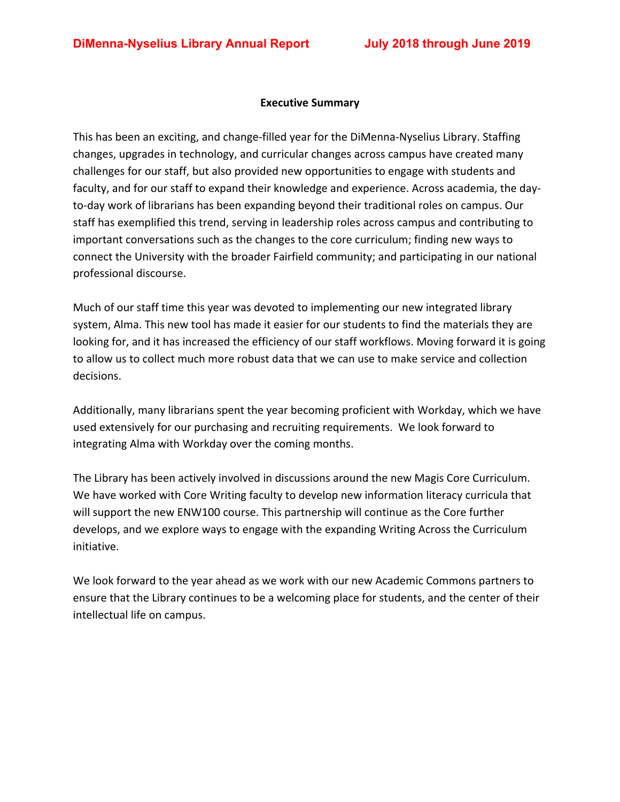#### **Executive Summary**

This has been an exciting, and change-filled year for the DiMenna-Nyselius Library. Staffing changes, upgrades in technology, and curricular changes across campus have created many challenges for our staff, but also provided new opportunities to engage with students and faculty, and for our staff to expand their knowledge and experience. Across academia, the dayto-day work of librarians has been expanding beyond their traditional roles on campus. Our staff has exemplified this trend, serving in leadership roles across campus and contributing to important conversations such as the changes to the core curriculum; finding new ways to connect the University with the broader Fairfield community; and participating in our national professional discourse.

Much of our staff time this year was devoted to implementing our new integrated library system, Alma. This new tool has made it easier for our students to find the materials they are looking for, and it has increased the efficiency of our staff workflows. Moving forward it is going to allow us to collect much more robust data that we can use to make service and collection decisions.

Additionally, many librarians spent the year becoming proficient with Workday, which we have used extensively for our purchasing and recruiting requirements. We look forward to integrating Alma with Workday over the coming months.

The Library has been actively involved in discussions around the new Magis Core Curriculum. We have worked with Core Writing faculty to develop new information literacy curricula that will support the new ENW100 course. This partnership will continue as the Core further develops, and we explore ways to engage with the expanding Writing Across the Curriculum initiative.

We look forward to the year ahead as we work with our new Academic Commons partners to ensure that the Library continues to be a welcoming place for students, and the center of their intellectual life on campus.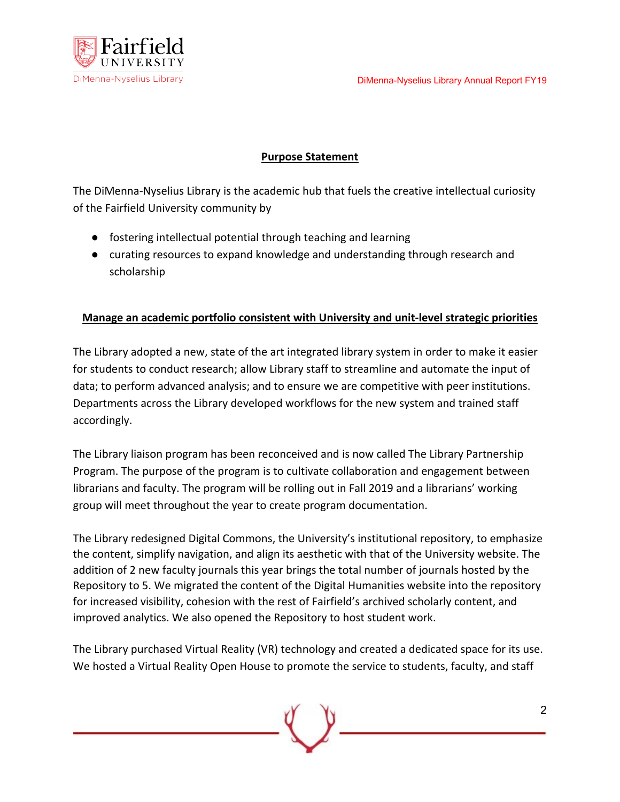

## **Purpose Statement**

The DiMenna-Nyselius Library is the academic hub that fuels the creative intellectual curiosity of the Fairfield University community by

- fostering intellectual potential through teaching and learning
- curating resources to expand knowledge and understanding through research and scholarship

### **Manage an academic portfolio consistent with University and unit-level strategic priorities**

The Library adopted a new, state of the art integrated library system in order to make it easier for students to conduct research; allow Library staff to streamline and automate the input of data; to perform advanced analysis; and to ensure we are competitive with peer institutions. Departments across the Library developed workflows for the new system and trained staff accordingly.

The Library liaison program has been reconceived and is now called The Library Partnership Program. The purpose of the program is to cultivate collaboration and engagement between librarians and faculty. The program will be rolling out in Fall 2019 and a librarians' working group will meet throughout the year to create program documentation.

The Library redesigned Digital Commons, the University's institutional repository, to emphasize the content, simplify navigation, and align its aesthetic with that of the University website. The addition of 2 new faculty journals this year brings the total number of journals hosted by the Repository to 5. We migrated the content of the Digital Humanities website into the repository for increased visibility, cohesion with the rest of Fairfield's archived scholarly content, and improved analytics. We also opened the Repository to host student work.

The Library purchased Virtual Reality (VR) technology and created a dedicated space for its use. We hosted a Virtual Reality Open House to promote the service to students, faculty, and staff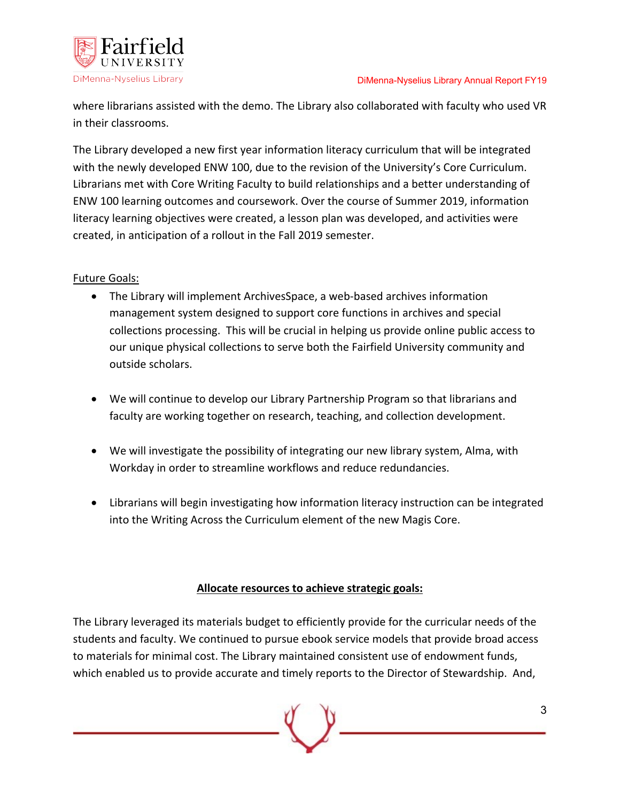

where librarians assisted with the demo. The Library also collaborated with faculty who used VR in their classrooms.

The Library developed a new first year information literacy curriculum that will be integrated with the newly developed ENW 100, due to the revision of the University's Core Curriculum. Librarians met with Core Writing Faculty to build relationships and a better understanding of ENW 100 learning outcomes and coursework. Over the course of Summer 2019, information literacy learning objectives were created, a lesson plan was developed, and activities were created, in anticipation of a rollout in the Fall 2019 semester.

## Future Goals:

- The Library will implement ArchivesSpace, a web-based archives information management system designed to support core functions in archives and special collections processing. This will be crucial in helping us provide online public access to our unique physical collections to serve both the Fairfield University community and outside scholars.
- We will continue to develop our Library Partnership Program so that librarians and faculty are working together on research, teaching, and collection development.
- We will investigate the possibility of integrating our new library system, Alma, with Workday in order to streamline workflows and reduce redundancies.
- Librarians will begin investigating how information literacy instruction can be integrated into the Writing Across the Curriculum element of the new Magis Core.

### **Allocate resources to achieve strategic goals:**

The Library leveraged its materials budget to efficiently provide for the curricular needs of the students and faculty. We continued to pursue ebook service models that provide broad access to materials for minimal cost. The Library maintained consistent use of endowment funds, which enabled us to provide accurate and timely reports to the Director of Stewardship. And,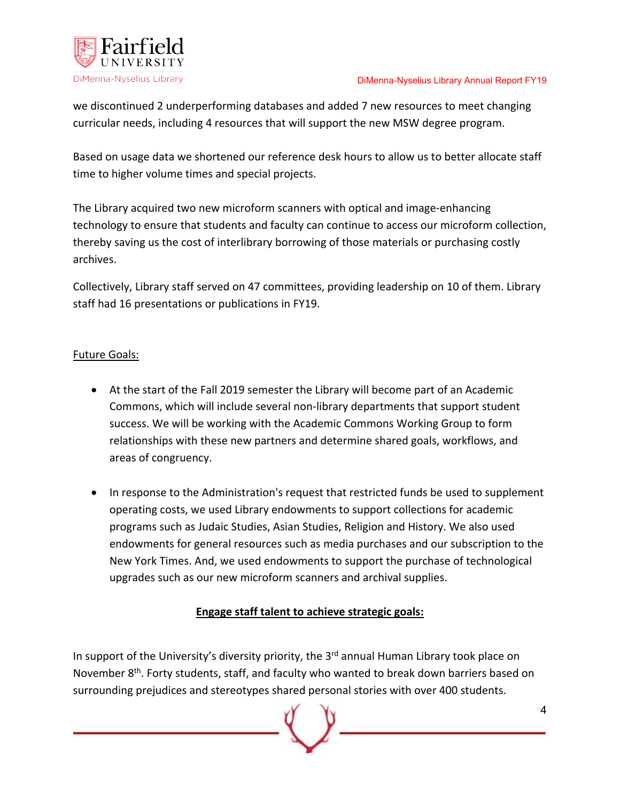



we discontinued 2 underperforming databases and added 7 new resources to meet changing curricular needs, including 4 resources that will support the new MSW degree program.

Based on usage data we shortened our reference desk hours to allow us to better allocate staff time to higher volume times and special projects.

The Library acquired two new microform scanners with optical and image-enhancing technology to ensure that students and faculty can continue to access our microform collection, thereby saving us the cost of interlibrary borrowing of those materials or purchasing costly archives.

Collectively, Library staff served on 47 committees, providing leadership on 10 of them. Library staff had 16 presentations or publications in FY19.

# Future Goals:

- At the start of the Fall 2019 semester the Library will become part of an Academic Commons, which will include several non-library departments that support student success. We will be working with the Academic Commons Working Group to form relationships with these new partners and determine shared goals, workflows, and areas of congruency.
- In response to the Administration's request that restricted funds be used to supplement operating costs, we used Library endowments to support collections for academic programs such as Judaic Studies, Asian Studies, Religion and History. We also used endowments for general resources such as media purchases and our subscription to the New York Times. And, we used endowments to support the purchase of technological upgrades such as our new microform scanners and archival supplies.

# **Engage staff talent to achieve strategic goals:**

In support of the University's diversity priority, the  $3<sup>rd</sup>$  annual Human Library took place on November 8<sup>th</sup>. Forty students, staff, and faculty who wanted to break down barriers based on surrounding prejudices and stereotypes shared personal stories with over 400 students.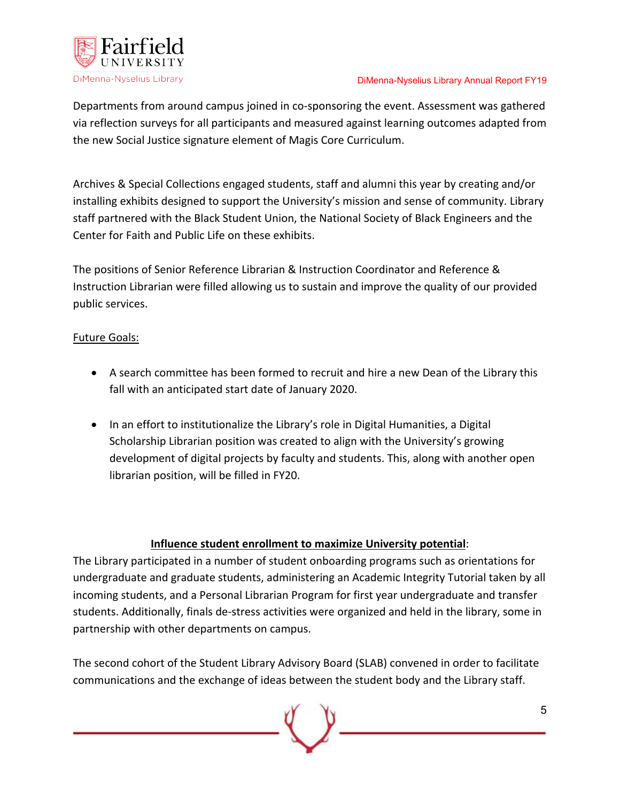

#### DiMenna-Nyselius Library Annual Report FY19

Departments from around campus joined in co-sponsoring the event. Assessment was gathered via reflection surveys for all participants and measured against learning outcomes adapted from the new Social Justice signature element of Magis Core Curriculum.

Archives & Special Collections engaged students, staff and alumni this year by creating and/or installing exhibits designed to support the University's mission and sense of community. Library staff partnered with the Black Student Union, the National Society of Black Engineers and the Center for Faith and Public Life on these exhibits.

The positions of Senior Reference Librarian & Instruction Coordinator and Reference & Instruction Librarian were filled allowing us to sustain and improve the quality of our provided public services.

### Future Goals:

- A search committee has been formed to recruit and hire a new Dean of the Library this fall with an anticipated start date of January 2020.
- In an effort to institutionalize the Library's role in Digital Humanities, a Digital Scholarship Librarian position was created to align with the University's growing development of digital projects by faculty and students. This, along with another open librarian position, will be filled in FY20.

#### **Influence student enrollment to maximize University potential**:

The Library participated in a number of student onboarding programs such as orientations for undergraduate and graduate students, administering an Academic Integrity Tutorial taken by all incoming students, and a Personal Librarian Program for first year undergraduate and transfer students. Additionally, finals de-stress activities were organized and held in the library, some in partnership with other departments on campus.

The second cohort of the Student Library Advisory Board (SLAB) convened in order to facilitate communications and the exchange of ideas between the student body and the Library staff.